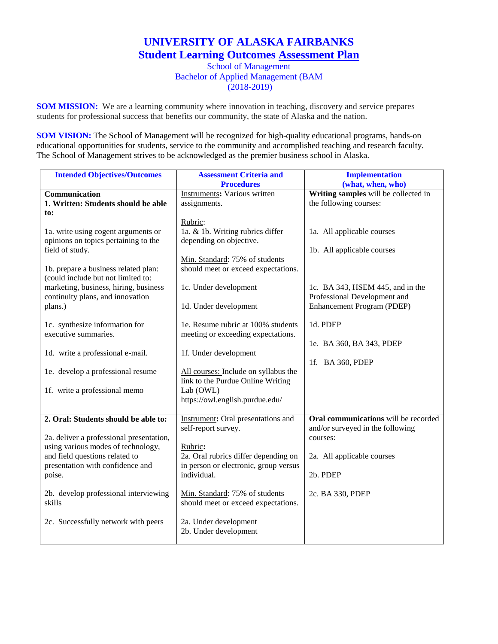## **UNIVERSITY OF ALASKA FAIRBANKS Student Learning Outcomes Assessment Plan**

School of Management Bachelor of Applied Management (BAM (2018-2019)

**SOM MISSION:** We are a learning community where innovation in teaching, discovery and service prepares students for professional success that benefits our community, the state of Alaska and the nation.

**SOM VISION:** The School of Management will be recognized for high-quality educational programs, hands-on educational opportunities for students, service to the community and accomplished teaching and research faculty. The School of Management strives to be acknowledged as the premier business school in Alaska.

| <b>Intended Objectives/Outcomes</b>                                                                      | <b>Assessment Criteria and</b>                                                           | <b>Implementation</b>                                            |
|----------------------------------------------------------------------------------------------------------|------------------------------------------------------------------------------------------|------------------------------------------------------------------|
|                                                                                                          | <b>Procedures</b>                                                                        | (what, when, who)                                                |
| Communication                                                                                            | <b>Instruments: Various written</b>                                                      | Writing samples will be collected in                             |
| 1. Written: Students should be able                                                                      | assignments.                                                                             | the following courses:                                           |
| to:                                                                                                      |                                                                                          |                                                                  |
| 1a. write using cogent arguments or<br>opinions on topics pertaining to the<br>field of study.           | Rubric:<br>1a. & 1b. Writing rubrics differ<br>depending on objective.                   | 1a. All applicable courses<br>1b. All applicable courses         |
| 1b. prepare a business related plan:<br>(could include but not limited to:                               | Min. Standard: 75% of students<br>should meet or exceed expectations.                    |                                                                  |
| marketing, business, hiring, business<br>continuity plans, and innovation                                | 1c. Under development                                                                    | 1c. BA 343, HSEM 445, and in the<br>Professional Development and |
| plans.)                                                                                                  | 1d. Under development                                                                    | Enhancement Program (PDEP)                                       |
| 1c. synthesize information for<br>executive summaries.                                                   | 1e. Resume rubric at 100% students<br>meeting or exceeding expectations.                 | 1d. PDEP                                                         |
| 1d. write a professional e-mail.                                                                         | 1f. Under development                                                                    | 1e. BA 360, BA 343, PDEP<br>1f. BA 360, PDEP                     |
| 1e. develop a professional resume                                                                        | All courses: Include on syllabus the<br>link to the Purdue Online Writing                |                                                                  |
| 1f. write a professional memo                                                                            | Lab (OWL)<br>https://owl.english.purdue.edu/                                             |                                                                  |
| 2. Oral: Students should be able to:                                                                     | Instrument: Oral presentations and                                                       | Oral communications will be recorded                             |
| 2a. deliver a professional presentation,                                                                 | self-report survey.                                                                      | and/or surveyed in the following<br>courses:                     |
| using various modes of technology,<br>and field questions related to<br>presentation with confidence and | Rubric:<br>2a. Oral rubrics differ depending on<br>in person or electronic, group versus | 2a. All applicable courses                                       |
| poise.                                                                                                   | individual.                                                                              | 2b. PDEP                                                         |
| 2b. develop professional interviewing<br>skills                                                          | Min. Standard: 75% of students<br>should meet or exceed expectations.                    | 2c. BA 330, PDEP                                                 |
| 2c. Successfully network with peers                                                                      | 2a. Under development<br>2b. Under development                                           |                                                                  |